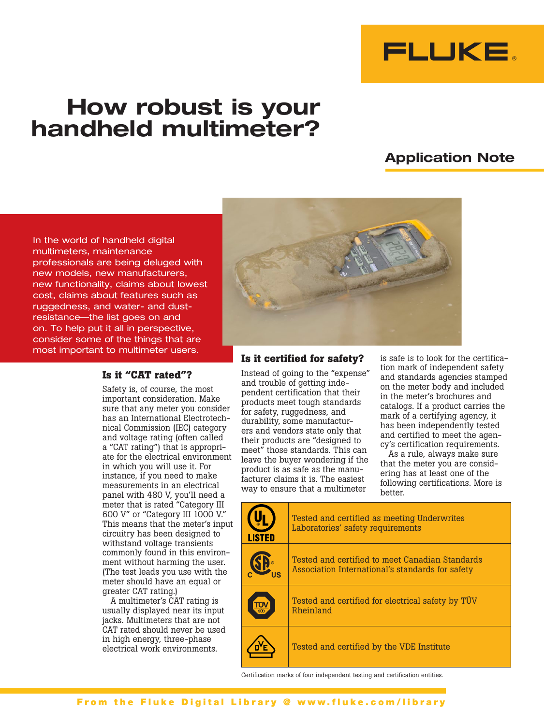

# How robust is your handheld multimeter?

# Application Note

In the world of handheld digital multimeters, maintenance professionals are being deluged with new models, new manufacturers, new functionality, claims about lowest cost, claims about features such as ruggedness, and water- and dustresistance—the list goes on and on. To help put it all in perspective, consider some of the things that are most important to multimeter users.

### **Is it "CAT rated"?**

Safety is, of course, the most important consideration. Make sure that any meter you consider has an International Electrotechnical Commission (IEC) category and voltage rating (often called a "CAT rating") that is appropriate for the electrical environment in which you will use it. For instance, if you need to make measurements in an electrical panel with 480 V, you'll need a meter that is rated "Category III 600 V" or "Category III 1000 V." This means that the meter's input circuitry has been designed to withstand voltage transients commonly found in this environment without harming the user. (The test leads you use with the meter should have an equal or greater CAT rating.)

A multimeter's CAT rating is usually displayed near its input jacks. Multimeters that are not CAT rated should never be used in high energy, three-phase electrical work environments.



#### **Is it certified for safety?**

Instead of going to the "expense" and trouble of getting independent certification that their products meet tough standards for safety, ruggedness, and durability, some manufacturers and vendors state only that their products are "designed to meet" those standards. This can leave the buyer wondering if the product is as safe as the manufacturer claims it is. The easiest way to ensure that a multimeter

is safe is to look for the certification mark of independent safety and standards agencies stamped on the meter body and included in the meter's brochures and catalogs. If a product carries the mark of a certifying agency, it has been independently tested and certified to meet the agency's certification requirements.

As a rule, always make sure that the meter you are considering has at least one of the following certifications. More is better.

| <b>LISTED</b> | Tested and certified as meeting Underwrites<br>Laboratories' safety requirements                    |  |
|---------------|-----------------------------------------------------------------------------------------------------|--|
|               | Tested and certified to meet Canadian Standards<br>Association International's standards for safety |  |
|               | Tested and certified for electrical safety by TUV<br>Rheinland                                      |  |
|               | Tested and certified by the VDE Institute                                                           |  |

Certification marks of four independent testing and certification entities.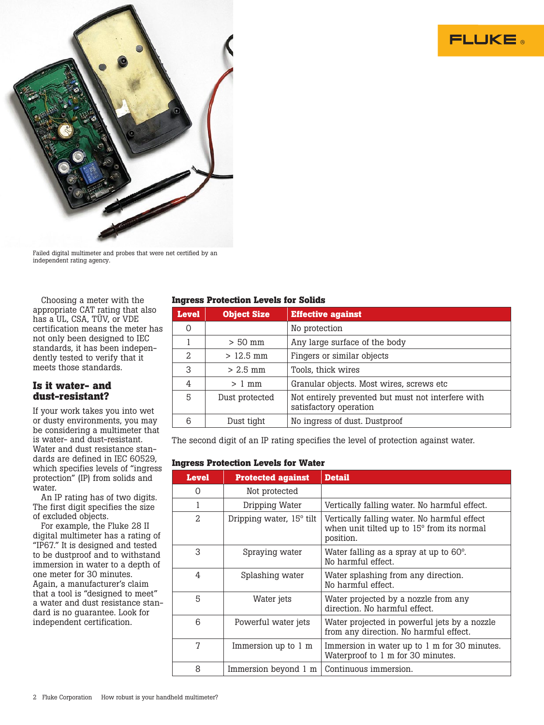



Failed digital multimeter and probes that were net certified by an independent rating agency.

Choosing a meter with the appropriate CAT rating that also has a UL, CSA, TÜV, or VDE certification means the meter has not only been designed to IEC standards, it has been independently tested to verify that it meets those standards.

# **Is it water- and dust-resistant?**

If your work takes you into wet or dusty environments, you may be considering a multimeter that is water- and dust-resistant. Water and dust resistance standards are defined in IEC 60529, which specifies levels of "ingress protection" (IP) from solids and water.

An IP rating has of two digits. The first digit specifies the size of excluded objects.

For example, the Fluke 28 II digital multimeter has a rating of "IP67." It is designed and tested to be dustproof and to withstand immersion in water to a depth of one meter for 30 minutes. Again, a manufacturer's claim that a tool is "designed to meet" a water and dust resistance standard is no guarantee. Look for independent certification.

## **Ingress Protection Levels for Solids**

| <b>Level</b>   | <b>Object Size</b> | <b>Effective against</b>                                                     |  |  |
|----------------|--------------------|------------------------------------------------------------------------------|--|--|
| 0              |                    | No protection                                                                |  |  |
|                | $> 50$ mm          | Any large surface of the body                                                |  |  |
| $\mathfrak{D}$ | $>12.5$ mm         | Fingers or similar objects                                                   |  |  |
| 3              | $> 2.5$ mm         | Tools, thick wires                                                           |  |  |
| 4              | $>1$ mm            | Granular objects. Most wires, screws etc.                                    |  |  |
| 5              | Dust protected     | Not entirely prevented but must not interfere with<br>satisfactory operation |  |  |
|                | Dust tight         | No ingress of dust. Dustproof                                                |  |  |

The second digit of an IP rating specifies the level of protection against water.

#### **Ingress Protection Levels for Water**

| <b>Level</b> | <b>Protected against</b>             | <b>Detail</b>                                                                                          |
|--------------|--------------------------------------|--------------------------------------------------------------------------------------------------------|
| O            | Not protected                        |                                                                                                        |
| 1            | Dripping Water                       | Vertically falling water. No harmful effect.                                                           |
| 2            | Dripping water, 15 <sup>°</sup> tilt | Vertically falling water. No harmful effect<br>when unit tilted up to 15° from its normal<br>position. |
| 3            | Spraying water                       | Water falling as a spray at up to 60°.<br>No harmful effect.                                           |
| 4            | Splashing water                      | Water splashing from any direction.<br>No harmful effect.                                              |
| 5            | Water jets                           | Water projected by a nozzle from any<br>direction. No harmful effect.                                  |
| 6            | Powerful water jets                  | Water projected in powerful jets by a nozzle<br>from any direction. No harmful effect.                 |
| 7            | Immersion up to 1 m                  | Immersion in water up to 1 m for 30 minutes.<br>Waterproof to 1 m for 30 minutes.                      |
| 8            | Immersion beyond 1 m                 | Continuous immersion.                                                                                  |